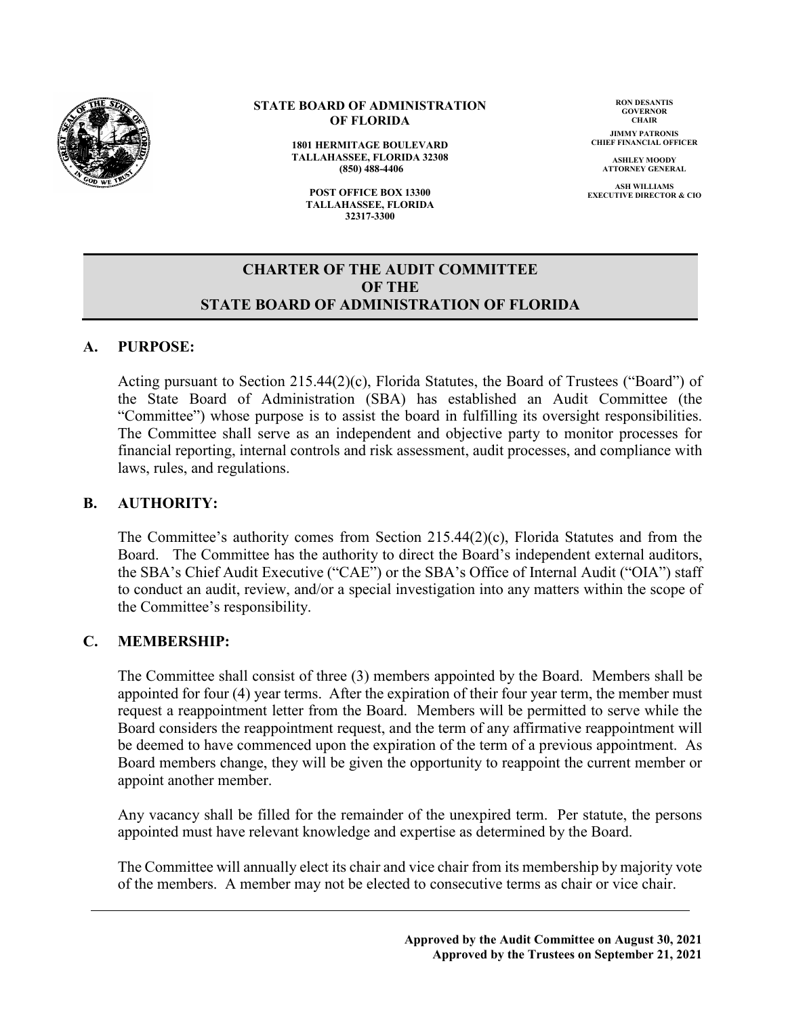

#### **STATE BOARD OF ADMINISTRATION OF FLORIDA**

**1801 HERMITAGE BOULEVARD TALLAHASSEE, FLORIDA 32308 (850) 488-4406**

**POST OFFICE BOX 13300 TALLAHASSEE, FLORIDA 32317-3300**

**RON DESANTIS GOVERNOR CHAIR**

**JIMMY PATRONIS CHIEF FINANCIAL OFFICER**

> **ASHLEY MOODY ATTORNEY GENERAL**

**ASH WILLIAMS EXECUTIVE DIRECTOR & CIO**

#### **CHARTER OF THE AUDIT COMMITTEE OF THE STATE BOARD OF ADMINISTRATION OF FLORIDA**

#### **A. PURPOSE:**

Acting pursuant to Section 215.44(2)(c), Florida Statutes, the Board of Trustees ("Board") of the State Board of Administration (SBA) has established an Audit Committee (the "Committee") whose purpose is to assist the board in fulfilling its oversight responsibilities. The Committee shall serve as an independent and objective party to monitor processes for financial reporting, internal controls and risk assessment, audit processes, and compliance with laws, rules, and regulations.

#### **B. AUTHORITY:**

The Committee's authority comes from Section 215.44(2)(c), Florida Statutes and from the Board. The Committee has the authority to direct the Board's independent external auditors, the SBA's Chief Audit Executive ("CAE") or the SBA's Office of Internal Audit ("OIA") staff to conduct an audit, review, and/or a special investigation into any matters within the scope of the Committee's responsibility.

#### **C. MEMBERSHIP:**

The Committee shall consist of three (3) members appointed by the Board. Members shall be appointed for four (4) year terms. After the expiration of their four year term, the member must request a reappointment letter from the Board. Members will be permitted to serve while the Board considers the reappointment request, and the term of any affirmative reappointment will be deemed to have commenced upon the expiration of the term of a previous appointment. As Board members change, they will be given the opportunity to reappoint the current member or appoint another member.

Any vacancy shall be filled for the remainder of the unexpired term. Per statute, the persons appointed must have relevant knowledge and expertise as determined by the Board.

The Committee will annually elect its chair and vice chair from its membership by majority vote of the members. A member may not be elected to consecutive terms as chair or vice chair.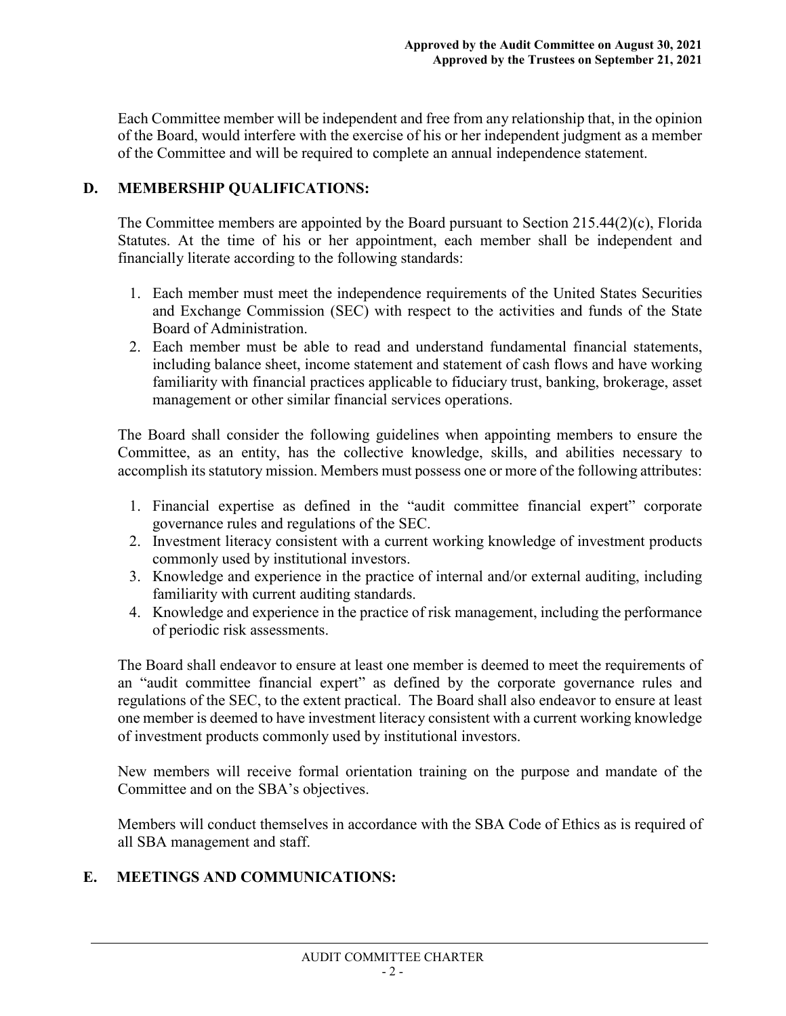Each Committee member will be independent and free from any relationship that, in the opinion of the Board, would interfere with the exercise of his or her independent judgment as a member of the Committee and will be required to complete an annual independence statement.

# **D. MEMBERSHIP QUALIFICATIONS:**

The Committee members are appointed by the Board pursuant to Section 215.44(2)(c), Florida Statutes. At the time of his or her appointment, each member shall be independent and financially literate according to the following standards:

- 1. Each member must meet the independence requirements of the United States Securities and Exchange Commission (SEC) with respect to the activities and funds of the State Board of Administration.
- 2. Each member must be able to read and understand fundamental financial statements, including balance sheet, income statement and statement of cash flows and have working familiarity with financial practices applicable to fiduciary trust, banking, brokerage, asset management or other similar financial services operations.

The Board shall consider the following guidelines when appointing members to ensure the Committee, as an entity, has the collective knowledge, skills, and abilities necessary to accomplish its statutory mission. Members must possess one or more of the following attributes:

- 1. Financial expertise as defined in the "audit committee financial expert" corporate governance rules and regulations of the SEC.
- 2. Investment literacy consistent with a current working knowledge of investment products commonly used by institutional investors.
- 3. Knowledge and experience in the practice of internal and/or external auditing, including familiarity with current auditing standards.
- 4. Knowledge and experience in the practice of risk management, including the performance of periodic risk assessments.

The Board shall endeavor to ensure at least one member is deemed to meet the requirements of an "audit committee financial expert" as defined by the corporate governance rules and regulations of the SEC, to the extent practical. The Board shall also endeavor to ensure at least one member is deemed to have investment literacy consistent with a current working knowledge of investment products commonly used by institutional investors.

New members will receive formal orientation training on the purpose and mandate of the Committee and on the SBA's objectives.

Members will conduct themselves in accordance with the SBA Code of Ethics as is required of all SBA management and staff.

## **E. MEETINGS AND COMMUNICATIONS:**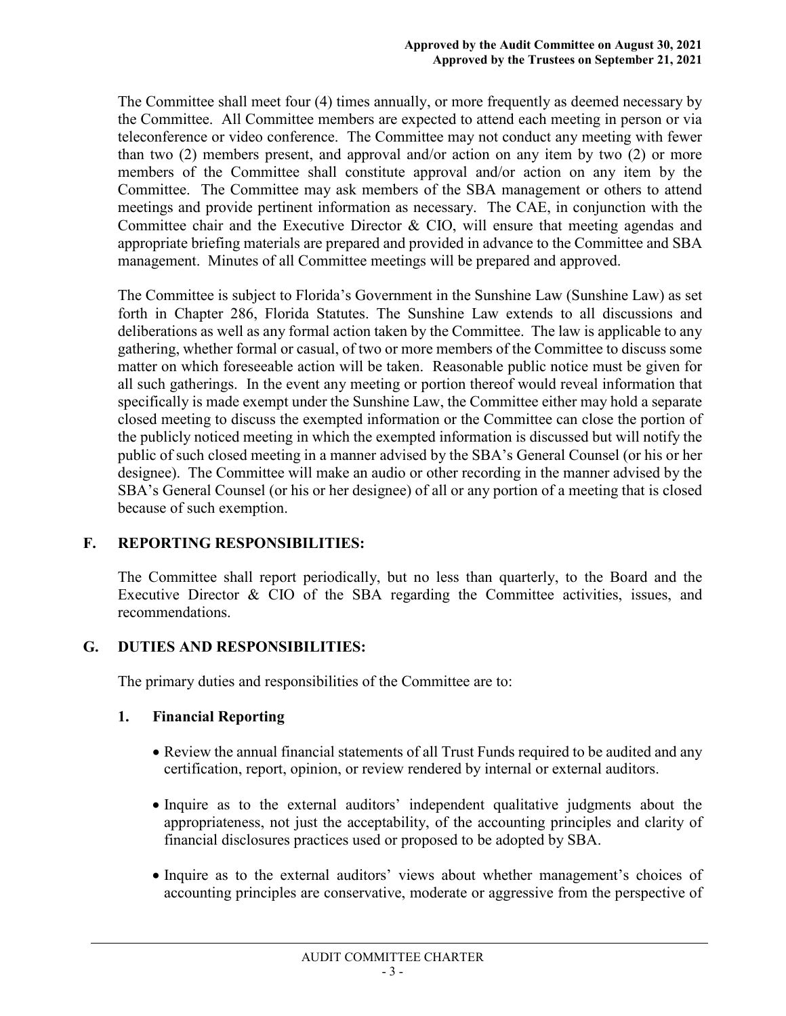The Committee shall meet four (4) times annually, or more frequently as deemed necessary by the Committee. All Committee members are expected to attend each meeting in person or via teleconference or video conference. The Committee may not conduct any meeting with fewer than two (2) members present, and approval and/or action on any item by two (2) or more members of the Committee shall constitute approval and/or action on any item by the Committee. The Committee may ask members of the SBA management or others to attend meetings and provide pertinent information as necessary. The CAE, in conjunction with the Committee chair and the Executive Director & CIO, will ensure that meeting agendas and appropriate briefing materials are prepared and provided in advance to the Committee and SBA management. Minutes of all Committee meetings will be prepared and approved.

The Committee is subject to Florida's Government in the Sunshine Law (Sunshine Law) as set forth in Chapter 286, Florida Statutes. The Sunshine Law extends to all discussions and deliberations as well as any formal action taken by the Committee. The law is applicable to any gathering, whether formal or casual, of two or more members of the Committee to discuss some matter on which foreseeable action will be taken. Reasonable public notice must be given for all such gatherings. In the event any meeting or portion thereof would reveal information that specifically is made exempt under the Sunshine Law, the Committee either may hold a separate closed meeting to discuss the exempted information or the Committee can close the portion of the publicly noticed meeting in which the exempted information is discussed but will notify the public of such closed meeting in a manner advised by the SBA's General Counsel (or his or her designee). The Committee will make an audio or other recording in the manner advised by the SBA's General Counsel (or his or her designee) of all or any portion of a meeting that is closed because of such exemption.

## **F. REPORTING RESPONSIBILITIES:**

The Committee shall report periodically, but no less than quarterly, to the Board and the Executive Director & CIO of the SBA regarding the Committee activities, issues, and recommendations.

## **G. DUTIES AND RESPONSIBILITIES:**

The primary duties and responsibilities of the Committee are to:

## **1. Financial Reporting**

- Review the annual financial statements of all Trust Funds required to be audited and any certification, report, opinion, or review rendered by internal or external auditors.
- Inquire as to the external auditors' independent qualitative judgments about the appropriateness, not just the acceptability, of the accounting principles and clarity of financial disclosures practices used or proposed to be adopted by SBA.
- Inquire as to the external auditors' views about whether management's choices of accounting principles are conservative, moderate or aggressive from the perspective of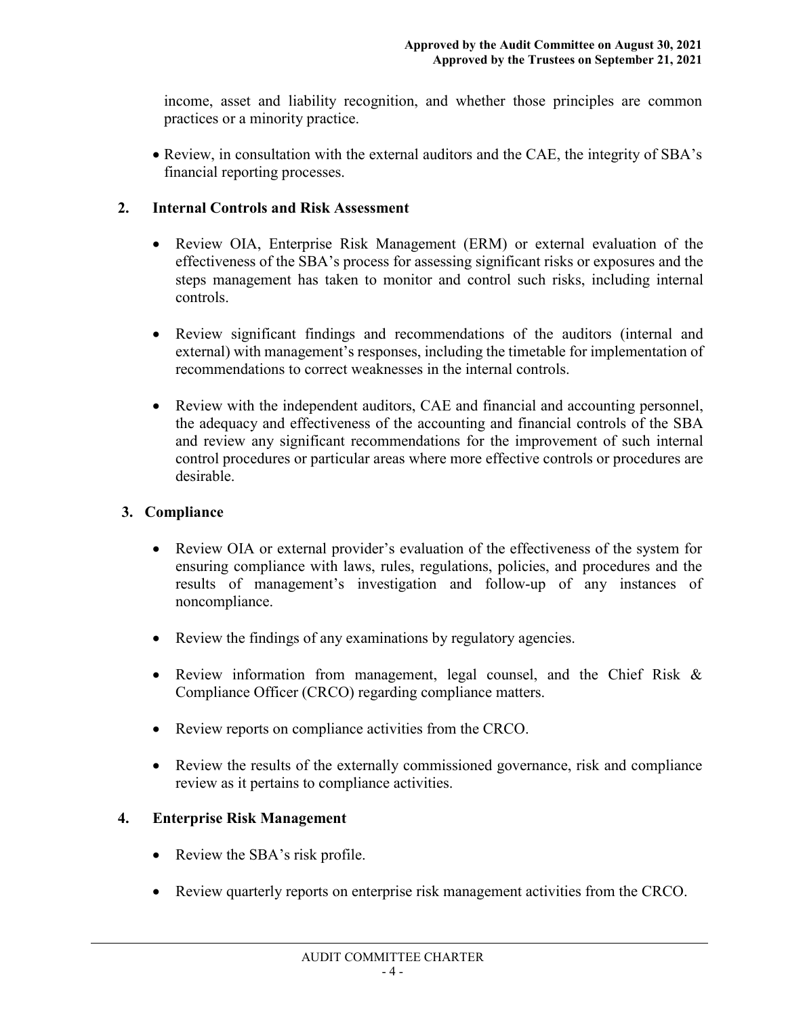income, asset and liability recognition, and whether those principles are common practices or a minority practice.

• Review, in consultation with the external auditors and the CAE, the integrity of SBA's financial reporting processes.

## **2. Internal Controls and Risk Assessment**

- Review OIA, Enterprise Risk Management (ERM) or external evaluation of the effectiveness of the SBA's process for assessing significant risks or exposures and the steps management has taken to monitor and control such risks, including internal controls.
- Review significant findings and recommendations of the auditors (internal and external) with management's responses, including the timetable for implementation of recommendations to correct weaknesses in the internal controls.
- Review with the independent auditors, CAE and financial and accounting personnel, the adequacy and effectiveness of the accounting and financial controls of the SBA and review any significant recommendations for the improvement of such internal control procedures or particular areas where more effective controls or procedures are desirable.

# **3. Compliance**

- Review OIA or external provider's evaluation of the effectiveness of the system for ensuring compliance with laws, rules, regulations, policies, and procedures and the results of management's investigation and follow-up of any instances of noncompliance.
- Review the findings of any examinations by regulatory agencies.
- Review information from management, legal counsel, and the Chief Risk & Compliance Officer (CRCO) regarding compliance matters.
- Review reports on compliance activities from the CRCO.
- Review the results of the externally commissioned governance, risk and compliance review as it pertains to compliance activities.

# **4. Enterprise Risk Management**

- Review the SBA's risk profile.
- Review quarterly reports on enterprise risk management activities from the CRCO.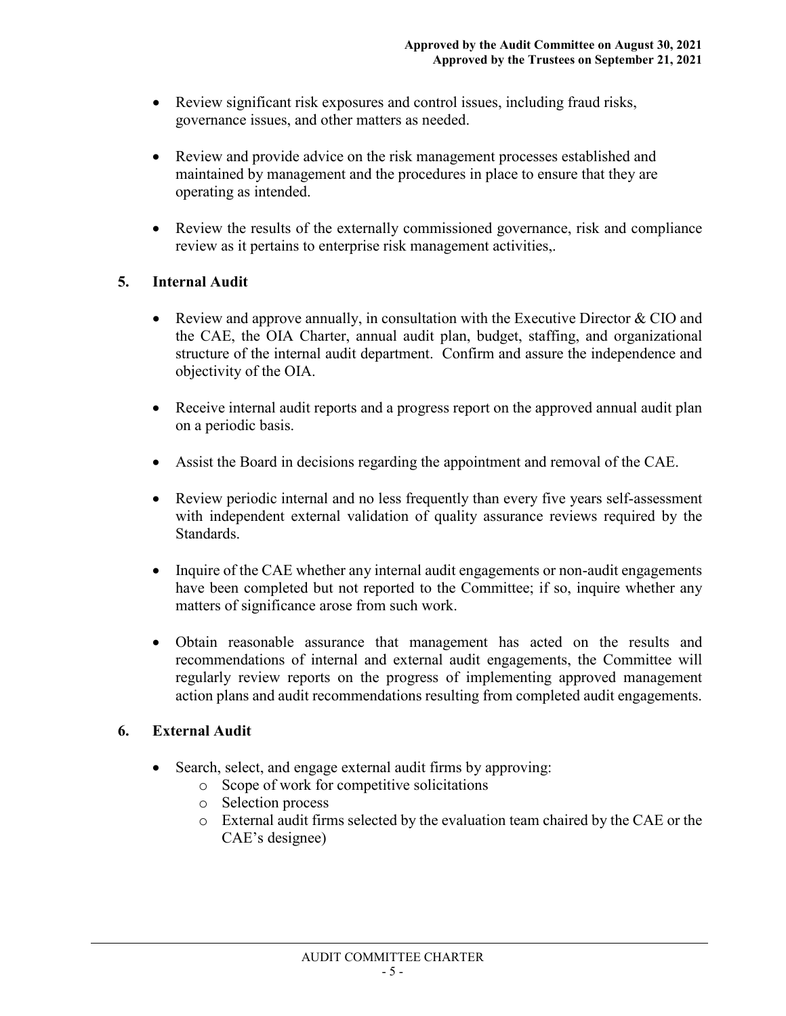- Review significant risk exposures and control issues, including fraud risks, governance issues, and other matters as needed.
- Review and provide advice on the risk management processes established and maintained by management and the procedures in place to ensure that they are operating as intended.
- Review the results of the externally commissioned governance, risk and compliance review as it pertains to enterprise risk management activities,.

# **5. Internal Audit**

- Review and approve annually, in consultation with the Executive Director  $& CIO$  and the CAE, the OIA Charter, annual audit plan, budget, staffing, and organizational structure of the internal audit department. Confirm and assure the independence and objectivity of the OIA.
- Receive internal audit reports and a progress report on the approved annual audit plan on a periodic basis.
- Assist the Board in decisions regarding the appointment and removal of the CAE.
- Review periodic internal and no less frequently than every five years self-assessment with independent external validation of quality assurance reviews required by the Standards.
- Inquire of the CAE whether any internal audit engagements or non-audit engagements have been completed but not reported to the Committee; if so, inquire whether any matters of significance arose from such work.
- Obtain reasonable assurance that management has acted on the results and recommendations of internal and external audit engagements, the Committee will regularly review reports on the progress of implementing approved management action plans and audit recommendations resulting from completed audit engagements.

## **6. External Audit**

- Search, select, and engage external audit firms by approving:
	- o Scope of work for competitive solicitations
	- o Selection process
	- o External audit firms selected by the evaluation team chaired by the CAE or the CAE's designee)